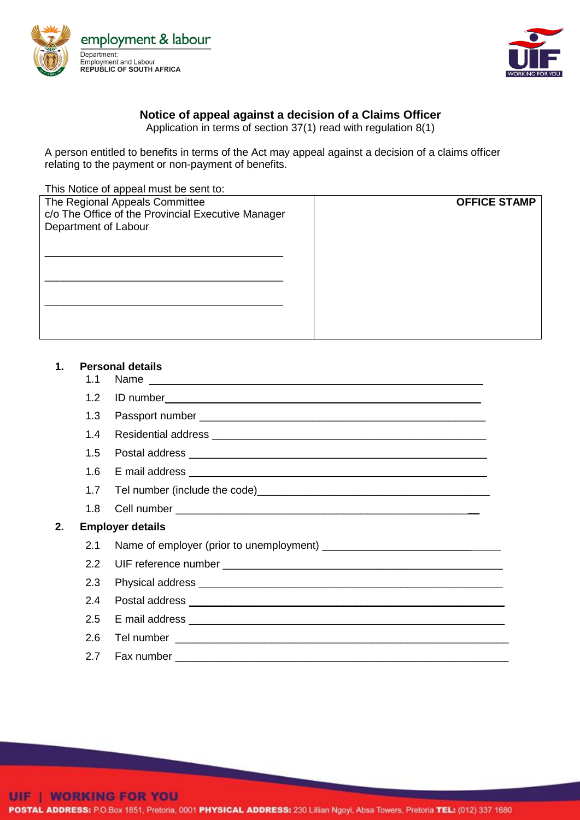



## **Notice of appeal against a decision of a Claims Officer**

Application in terms of section 37(1) read with regulation 8(1)

A person entitled to benefits in terms of the Act may appeal against a decision of a claims officer relating to the payment or non-payment of benefits.

This Notice of appeal must be sent to:

| The Regional Appeals Committee<br>c/o The Office of the Provincial Executive Manager<br>Department of Labour | <b>OFFICE STAMP</b> |
|--------------------------------------------------------------------------------------------------------------|---------------------|
|                                                                                                              |                     |
|                                                                                                              |                     |

## **1. Personal details**

- 
- 1.1 Name 1.2 ID number\_\_\_\_\_\_\_\_\_\_\_\_\_\_\_\_\_\_\_\_\_\_\_\_\_\_\_\_\_\_\_\_\_\_\_\_\_\_\_\_\_\_\_\_\_\_\_\_\_\_\_\_\_ 1.3 Passport number \_\_\_\_\_\_\_\_\_\_\_\_\_\_\_\_\_\_\_\_\_\_\_\_\_\_\_\_\_\_\_\_\_\_\_\_\_\_\_\_\_\_\_\_\_\_\_\_ 1.4 Residential address **and the set of the set of the set of the set of the set of the set of the set of the set of the set of the set of the set of the set of the set of the set of the set of the set of the set of the se** 1.5 Postal address \_\_\_\_\_\_\_\_\_\_\_\_\_\_\_\_\_\_\_\_\_\_\_\_\_\_\_\_\_\_\_\_\_\_\_\_\_\_\_\_\_\_\_\_\_\_\_\_\_\_ 1.6 E mail address \_\_\_\_\_\_\_\_\_\_\_\_\_\_\_\_\_\_\_\_\_\_\_\_\_\_\_\_\_\_\_\_\_\_\_\_\_\_\_\_\_\_\_\_\_\_\_\_\_\_ 1.7 Tel number (include the code)\_\_\_\_\_\_\_\_\_\_\_\_\_\_\_\_\_\_\_\_\_\_\_\_\_\_\_\_\_\_\_\_\_\_\_\_\_\_\_ 1.8 Cell number \_\_\_\_\_\_\_\_\_\_\_\_\_\_\_\_\_\_\_\_\_\_\_\_\_\_\_\_\_\_\_\_\_\_\_\_\_\_\_\_\_\_\_\_\_\_\_\_\_\_\_ **2. Employer details** 2.1 Name of employer (prior to unemployment) \_\_\_\_\_\_\_\_\_\_\_\_\_\_\_\_\_\_\_\_\_\_\_\_\_\_\_\_\_\_\_\_\_\_\_

| 2.1 Name of employer (prior to unemployment) ___________________________________ |
|----------------------------------------------------------------------------------|
|                                                                                  |
|                                                                                  |
|                                                                                  |
|                                                                                  |
|                                                                                  |
| 2.7 Fax number __________________                                                |

POSTAL ADDRESS: P.O.Box 1851, Pretoria, 0001 PHYSICAL ADDRESS: 230 Lillian Ngoyi, Absa Towers, Pretoria TEL: (012) 337 1680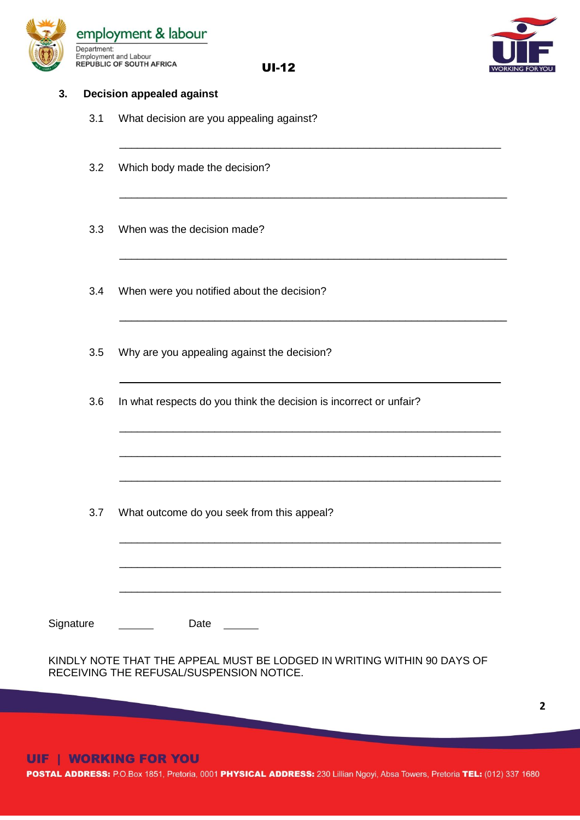

UI-12

\_\_\_\_\_\_\_\_\_\_\_\_\_\_\_\_\_\_\_\_\_\_\_\_\_\_\_\_\_\_\_\_\_\_\_\_\_\_\_\_\_\_\_\_\_\_\_\_\_\_\_\_\_\_\_\_\_\_\_\_\_\_\_\_

\_\_\_\_\_\_\_\_\_\_\_\_\_\_\_\_\_\_\_\_\_\_\_\_\_\_\_\_\_\_\_\_\_\_\_\_\_\_\_\_\_\_\_\_\_\_\_\_\_\_\_\_\_\_\_\_\_\_\_\_\_\_\_\_\_

\_\_\_\_\_\_\_\_\_\_\_\_\_\_\_\_\_\_\_\_\_\_\_\_\_\_\_\_\_\_\_\_\_\_\_\_\_\_\_\_\_\_\_\_\_\_\_\_\_\_\_\_\_\_\_\_\_\_\_\_\_\_\_\_\_

\_\_\_\_\_\_\_\_\_\_\_\_\_\_\_\_\_\_\_\_\_\_\_\_\_\_\_\_\_\_\_\_\_\_\_\_\_\_\_\_\_\_\_\_\_\_\_\_\_\_\_\_\_\_\_\_\_\_\_\_\_\_\_\_\_

\_\_\_\_\_\_\_\_\_\_\_\_\_\_\_\_\_\_\_\_\_\_\_\_\_\_\_\_\_\_\_\_\_\_\_\_\_\_\_\_\_\_\_\_\_\_\_\_\_\_\_\_\_\_\_\_\_\_\_\_\_\_\_\_

\_\_\_\_\_\_\_\_\_\_\_\_\_\_\_\_\_\_\_\_\_\_\_\_\_\_\_\_\_\_\_\_\_\_\_\_\_\_\_\_\_\_\_\_\_\_\_\_\_\_\_\_\_\_\_\_\_\_\_\_\_\_\_\_

\_\_\_\_\_\_\_\_\_\_\_\_\_\_\_\_\_\_\_\_\_\_\_\_\_\_\_\_\_\_\_\_\_\_\_\_\_\_\_\_\_\_\_\_\_\_\_\_\_\_\_\_\_\_\_\_\_\_\_\_\_\_\_\_

\_\_\_\_\_\_\_\_\_\_\_\_\_\_\_\_\_\_\_\_\_\_\_\_\_\_\_\_\_\_\_\_\_\_\_\_\_\_\_\_\_\_\_\_\_\_\_\_\_\_\_\_\_\_\_\_\_\_\_\_\_\_\_\_

\_\_\_\_\_\_\_\_\_\_\_\_\_\_\_\_\_\_\_\_\_\_\_\_\_\_\_\_\_\_\_\_\_\_\_\_\_\_\_\_\_\_\_\_\_\_\_\_\_\_\_\_\_\_\_\_\_\_\_\_\_\_\_\_

\_\_\_\_\_\_\_\_\_\_\_\_\_\_\_\_\_\_\_\_\_\_\_\_\_\_\_\_\_\_\_\_\_\_\_\_\_\_\_\_\_\_\_\_\_\_\_\_\_\_\_\_\_\_\_\_\_\_\_\_\_\_\_\_

\_\_\_\_\_\_\_\_\_\_\_\_\_\_\_\_\_\_\_\_\_\_\_\_\_\_\_\_\_\_\_\_\_\_\_\_\_\_\_\_\_\_\_\_\_\_\_\_\_\_\_\_\_\_\_\_\_\_\_\_\_\_\_\_



**2**

## **3. Decision appealed against**

- 3.1 What decision are you appealing against?
- 3.2 Which body made the decision?
- 3.3 When was the decision made?
- 3.4 When were you notified about the decision?
- 3.5 Why are you appealing against the decision?
- 3.6 In what respects do you think the decision is incorrect or unfair?

3.7 What outcome do you seek from this appeal?

Signature Date

KINDLY NOTE THAT THE APPEAL MUST BE LODGED IN WRITING WITHIN 90 DAYS OF RECEIVING THE REFUSAL/SUSPENSION NOTICE.

<u> The Common State of the Common Sta</u>